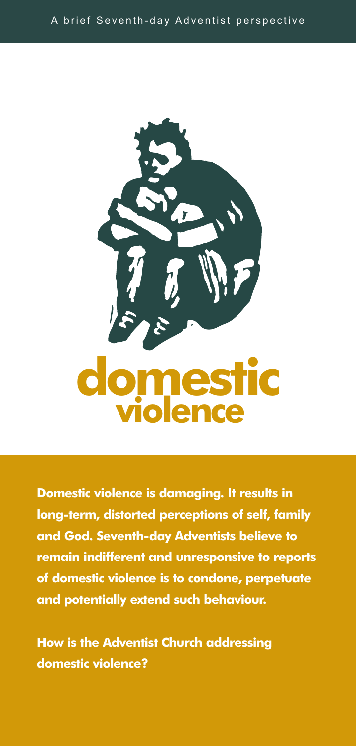

**Domestic violence is damaging. It results in long-term, distorted perceptions of self, family and God. Seventh-day Adventists believe to remain indifferent and unresponsive to reports of domestic violence is to condone, perpetuate and potentially extend such behaviour.**

**How is the Adventist Church addressing domestic violence?**